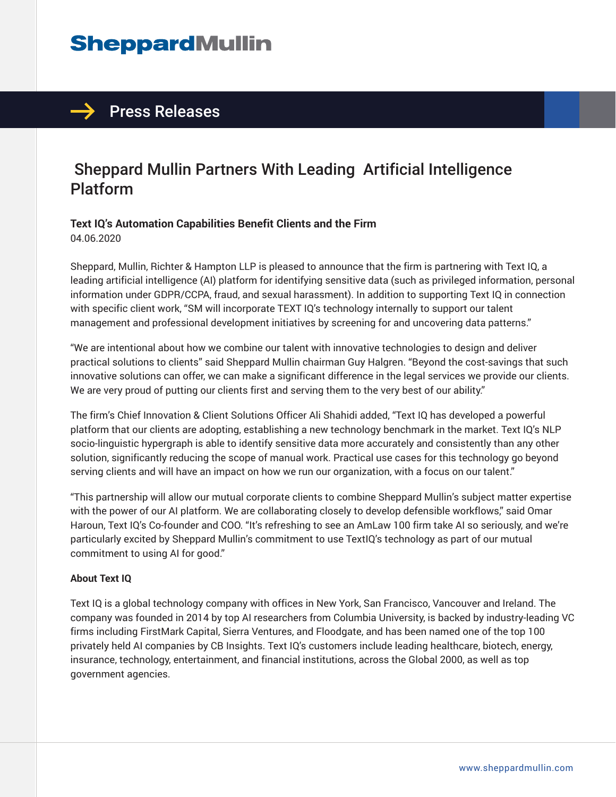## **SheppardMullin**

## $\rightarrow$  Press Releases

## Sheppard Mullin Partners With Leading Artificial Intelligence Platform

### **Text IQ's Automation Capabilities Benefit Clients and the Firm**

04.06.2020

Sheppard, Mullin, Richter & Hampton LLP is pleased to announce that the firm is partnering with Text IQ, a leading artificial intelligence (AI) platform for identifying sensitive data (such as privileged information, personal information under GDPR/CCPA, fraud, and sexual harassment). In addition to supporting Text IQ in connection with specific client work, "SM will incorporate TEXT IQ's technology internally to support our talent management and professional development initiatives by screening for and uncovering data patterns."

"We are intentional about how we combine our talent with innovative technologies to design and deliver practical solutions to clients" said Sheppard Mullin chairman Guy Halgren. "Beyond the cost-savings that such innovative solutions can offer, we can make a significant difference in the legal services we provide our clients. We are very proud of putting our clients first and serving them to the very best of our ability."

The firm's Chief Innovation & Client Solutions Officer Ali Shahidi added, "Text IQ has developed a powerful platform that our clients are adopting, establishing a new technology benchmark in the market. Text IQ's NLP socio-linguistic hypergraph is able to identify sensitive data more accurately and consistently than any other solution, significantly reducing the scope of manual work. Practical use cases for this technology go beyond serving clients and will have an impact on how we run our organization, with a focus on our talent."

"This partnership will allow our mutual corporate clients to combine Sheppard Mullin's subject matter expertise with the power of our AI platform. We are collaborating closely to develop defensible workflows," said Omar Haroun, Text IQ's Co-founder and COO. "It's refreshing to see an AmLaw 100 firm take AI so seriously, and we're particularly excited by Sheppard Mullin's commitment to use TextIQ's technology as part of our mutual commitment to using AI for good."

#### **About Text IQ**

Text IQ is a global technology company with offices in New York, San Francisco, Vancouver and Ireland. The company was founded in 2014 by top AI researchers from Columbia University, is backed by industry-leading VC firms including FirstMark Capital, Sierra Ventures, and Floodgate, and has been named one of the top 100 privately held AI companies by CB Insights. Text IQ's customers include leading healthcare, biotech, energy, insurance, technology, entertainment, and financial institutions, across the Global 2000, as well as top government agencies.